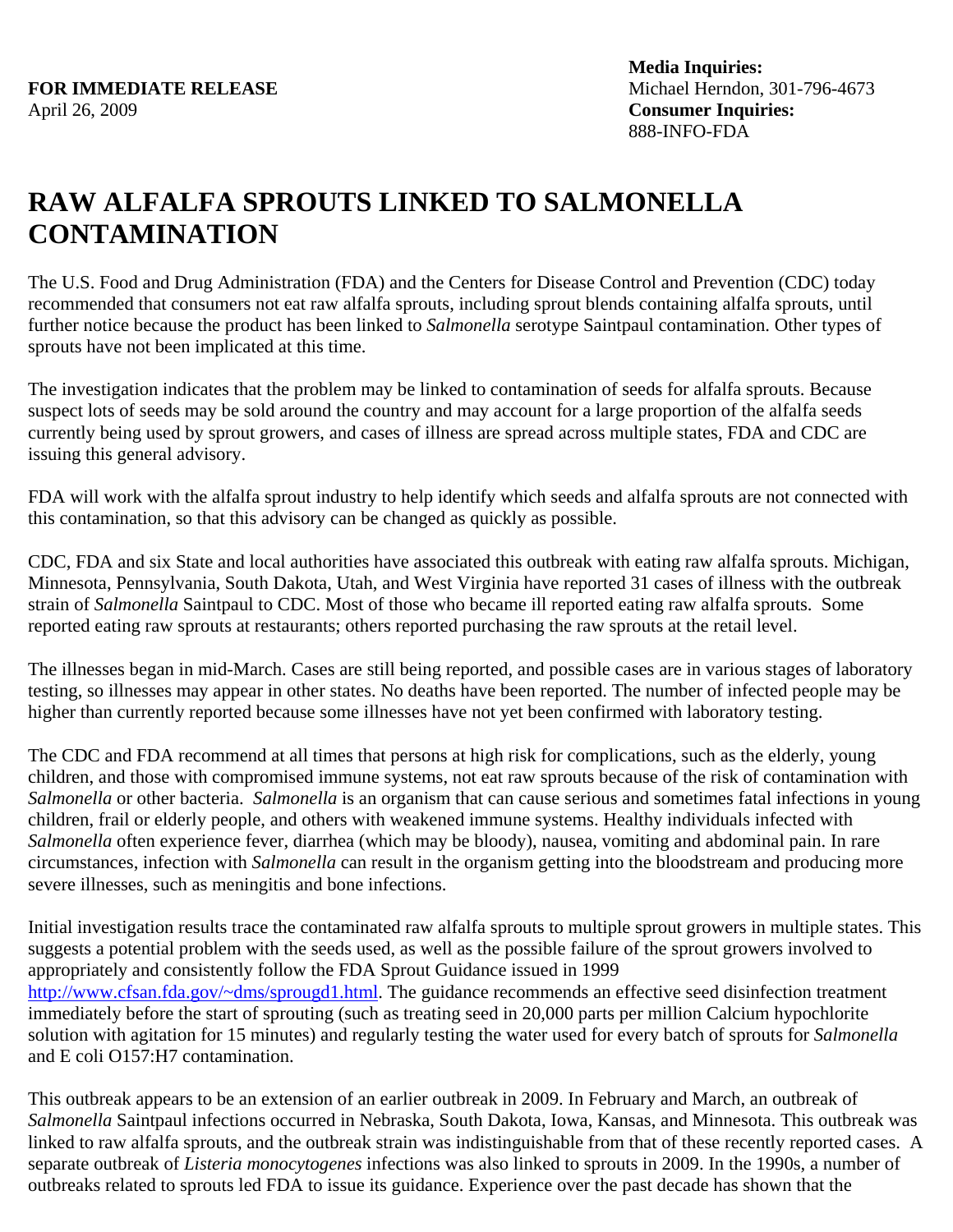## **RAW ALFALFA SPROUTS LINKED TO SALMONELLA CONTAMINATION**

The U.S. Food and Drug Administration (FDA) and the Centers for Disease Control and Prevention (CDC) today recommended that consumers not eat raw alfalfa sprouts, including sprout blends containing alfalfa sprouts, until further notice because the product has been linked to *Salmonella* serotype Saintpaul contamination. Other types of sprouts have not been implicated at this time.

The investigation indicates that the problem may be linked to contamination of seeds for alfalfa sprouts. Because suspect lots of seeds may be sold around the country and may account for a large proportion of the alfalfa seeds currently being used by sprout growers, and cases of illness are spread across multiple states, FDA and CDC are issuing this general advisory.

FDA will work with the alfalfa sprout industry to help identify which seeds and alfalfa sprouts are not connected with this contamination, so that this advisory can be changed as quickly as possible.

CDC, FDA and six State and local authorities have associated this outbreak with eating raw alfalfa sprouts. Michigan, Minnesota, Pennsylvania, South Dakota, Utah, and West Virginia have reported 31 cases of illness with the outbreak strain of *Salmonella* Saintpaul to CDC. Most of those who became ill reported eating raw alfalfa sprouts. Some reported eating raw sprouts at restaurants; others reported purchasing the raw sprouts at the retail level.

The illnesses began in mid-March. Cases are still being reported, and possible cases are in various stages of laboratory testing, so illnesses may appear in other states. No deaths have been reported. The number of infected people may be higher than currently reported because some illnesses have not yet been confirmed with laboratory testing.

The CDC and FDA recommend at all times that persons at high risk for complications, such as the elderly, young children, and those with compromised immune systems, not eat raw sprouts because of the risk of contamination with *Salmonella* or other bacteria. *Salmonella* is an organism that can cause serious and sometimes fatal infections in young children, frail or elderly people, and others with weakened immune systems. Healthy individuals infected with *Salmonella* often experience fever, diarrhea (which may be bloody), nausea, vomiting and abdominal pain. In rare circumstances, infection with *Salmonella* can result in the organism getting into the bloodstream and producing more severe illnesses, such as meningitis and bone infections.

Initial investigation results trace the contaminated raw alfalfa sprouts to multiple sprout growers in multiple states. This suggests a potential problem with the seeds used, as well as the possible failure of the sprout growers involved to appropriately and consistently follow the FDA Sprout Guidance issued in 1999 http://www.cfsan.fda.gov/~dms/sprougd1.html. The guidance recommends an effective seed disinfection treatment immediately before the start of sprouting (such as treating seed in 20,000 parts per million Calcium hypochlorite solution with agitation for 15 minutes) and regularly testing the water used for every batch of sprouts for *Salmonella* and E coli O157:H7 contamination.

This outbreak appears to be an extension of an earlier outbreak in 2009. In February and March, an outbreak of *Salmonella* Saintpaul infections occurred in Nebraska, South Dakota, Iowa, Kansas, and Minnesota. This outbreak was linked to raw alfalfa sprouts, and the outbreak strain was indistinguishable from that of these recently reported cases. A separate outbreak of *Listeria monocytogenes* infections was also linked to sprouts in 2009. In the 1990s, a number of outbreaks related to sprouts led FDA to issue its guidance. Experience over the past decade has shown that the